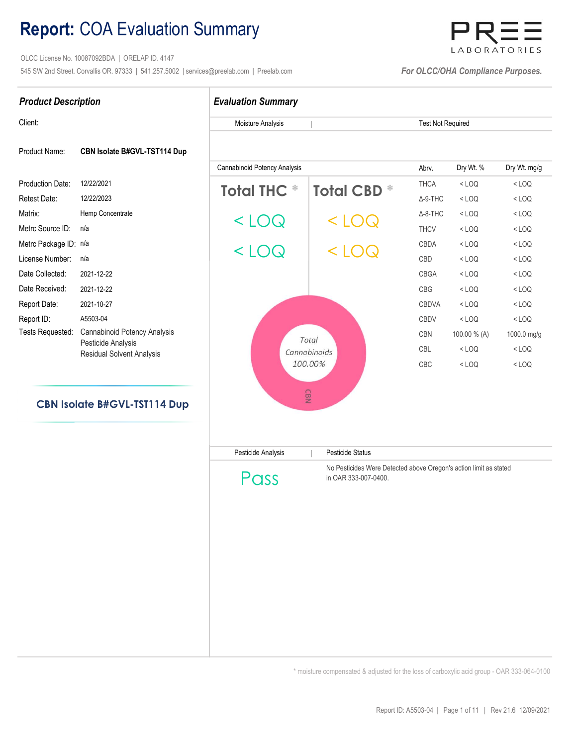## Report: COA Evaluation Summary

 OLCC License No. 10087092BDA | ORELAP ID. 4147 545 SW 2nd Street. Corvallis OR. 97333 | 541.257.5002 | services@preelab.com | Preelab.com | Preelab.com | For OLCC/OHA Compliance Purposes.



< LOQ < LOQ

| <b>Product Description</b> |                                                        | <b>Evaluation Summary</b>        |                  |                          |              |              |  |  |
|----------------------------|--------------------------------------------------------|----------------------------------|------------------|--------------------------|--------------|--------------|--|--|
| Client:                    |                                                        | Moisture Analysis                |                  | <b>Test Not Required</b> |              |              |  |  |
| Product Name:              | CBN Isolate B#GVL-TST114 Dup                           |                                  |                  |                          |              |              |  |  |
|                            |                                                        | Cannabinoid Potency Analysis     |                  | Abrv.                    | Dry Wt. %    | Dry Wt. mg/g |  |  |
| Production Date:           | 12/22/2021                                             | <b>Total THC</b><br>₩            | <b>Total CBD</b> | <b>THCA</b>              | $<$ LOQ      | $<$ LOQ      |  |  |
| <b>Retest Date:</b>        | 12/22/2023                                             |                                  |                  | $\Delta$ -9-THC          | $<$ LOQ      | $<$ LOQ      |  |  |
| Matrix:                    | Hemp Concentrate                                       |                                  |                  | $\Delta$ -8-THC          | $<$ LOQ      | $<$ LOQ      |  |  |
| Metrc Source ID:           | n/a                                                    | $\lt$<br>1 (        ) ( <i>\</i> |                  | <b>THCV</b>              | $<$ LOQ      | $<$ LOQ      |  |  |
| Metrc Package ID: n/a      |                                                        |                                  |                  | <b>CBDA</b>              | $<$ LOQ      | $<$ LOQ      |  |  |
| License Number:            | n/a                                                    | $<$ 1 ( )( $<$                   | $\cup$           | CBD                      | $<$ LOQ      | $<$ LOQ      |  |  |
| Date Collected:            | 2021-12-22                                             |                                  |                  | CBGA                     | $<$ LOQ      | $<$ LOQ      |  |  |
| Date Received:             | 2021-12-22                                             |                                  |                  | CBG                      | $<$ LOQ      | $<$ LOQ      |  |  |
| Report Date:               | 2021-10-27                                             |                                  |                  | <b>CBDVA</b>             | $<$ LOQ      | $<$ LOQ      |  |  |
| Report ID:                 | A5503-04                                               |                                  |                  | <b>CBDV</b>              | $<$ LOQ      | $<$ LOQ      |  |  |
| Tests Requested:           | Cannabinoid Potency Analysis                           | Total                            |                  | <b>CBN</b>               | 100.00 % (A) | 1000.0 mg/g  |  |  |
|                            | Pesticide Analysis<br><b>Residual Solvent Analysis</b> |                                  | Cannabinoids     |                          | $<$ LOQ      | $<$ LOQ      |  |  |

100.00%

# CBN Isolate B#GVL-TST114 Dup

| Pesticide Analysis | <b>Pesticide Status</b>                                                                   |
|--------------------|-------------------------------------------------------------------------------------------|
| Pass               | No Pesticides Were Detected above Oregon's action limit as stated<br>in OAR 333-007-0400. |
|                    |                                                                                           |
|                    |                                                                                           |
|                    |                                                                                           |
|                    |                                                                                           |
|                    |                                                                                           |

\* moisture compensated & adjusted for the loss of carboxylic acid group - OAR 333-064-0100

CBC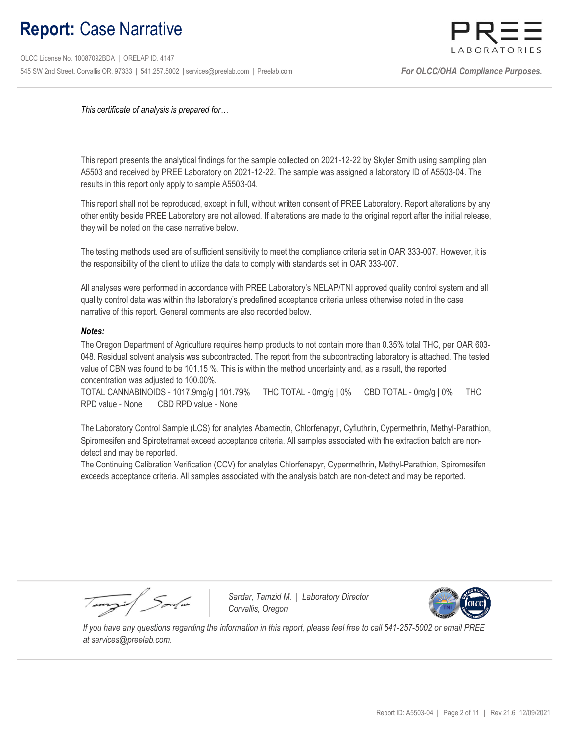## Report: Case Narrative

 OLCC License No. 10087092BDA | ORELAP ID. 4147 545 SW 2nd Street. Corvallis OR. 97333 | 541.257.5002 | services@preelab.com | Preelab.com | For Summer Content Compliance Purposes.



This certificate of analysis is prepared for…

This report presents the analytical findings for the sample collected on 2021-12-22 by Skyler Smith using sampling plan A5503 and received by PREE Laboratory on 2021-12-22. The sample was assigned a laboratory ID of A5503-04. The results in this report only apply to sample A5503-04.

This report shall not be reproduced, except in full, without written consent of PREE Laboratory. Report alterations by any other entity beside PREE Laboratory are not allowed. If alterations are made to the original report after the initial release, they will be noted on the case narrative below.

The testing methods used are of sufficient sensitivity to meet the compliance criteria set in OAR 333-007. However, it is the responsibility of the client to utilize the data to comply with standards set in OAR 333-007.

All analyses were performed in accordance with PREE Laboratory's NELAP/TNI approved quality control system and all quality control data was within the laboratory's predefined acceptance criteria unless otherwise noted in the case narrative of this report. General comments are also recorded below.

#### Notes:

The Oregon Department of Agriculture requires hemp products to not contain more than 0.35% total THC, per OAR 603- 048. Residual solvent analysis was subcontracted. The report from the subcontracting laboratory is attached. The tested value of CBN was found to be 101.15 %. This is within the method uncertainty and, as a result, the reported concentration was adjusted to 100.00%.

TOTAL CANNABINOIDS - 1017.9mg/g | 101.79% THC TOTAL - 0mg/g | 0% CBD TOTAL - 0mg/g | 0% THC RPD value - None CBD RPD value - None

The Laboratory Control Sample (LCS) for analytes Abamectin, Chlorfenapyr, Cyfluthrin, Cypermethrin, Methyl-Parathion, Spiromesifen and Spirotetramat exceed acceptance criteria. All samples associated with the extraction batch are nondetect and may be reported.

The Continuing Calibration Verification (CCV) for analytes Chlorfenapyr, Cypermethrin, Methyl-Parathion, Spiromesifen exceeds acceptance criteria. All samples associated with the analysis batch are non-detect and may be reported.

Tempil Soule

Sardar, Tamzid M. | Laboratory Director Corvallis, Oregon



 If you have any questions regarding the information in this report, please feel free to call 541-257-5002 or email PREE at services@preelab.com.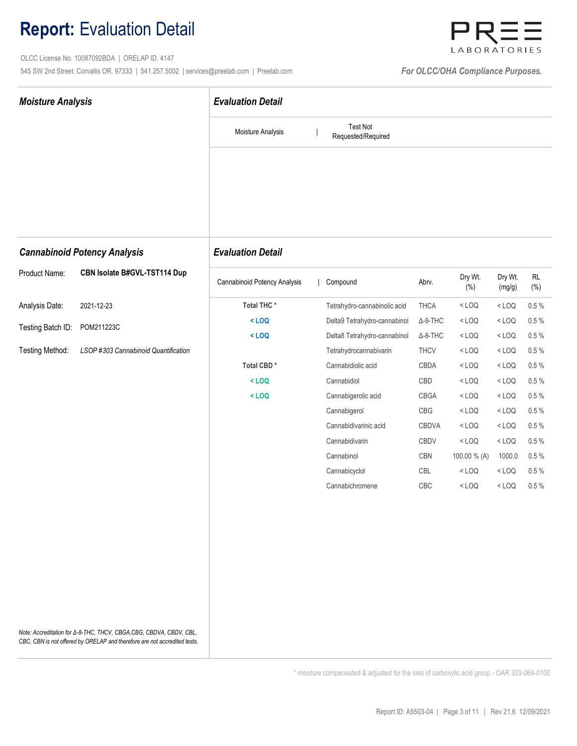## Report: Evaluation Detail

 OLCC License No. 10087092BDA | ORELAP ID. 4147 545 SW 2nd Street. Corvallis OR. 97333 | 541.257.5002 | services@preelab.com | Preelab.com | **For OLCC/OHA Compliance Purposes.** 



| <b>Moisture Analysis</b> |                                                                                                                                                 | <b>Evaluation Detail</b>     |                                       |                 |                    |                   |                     |  |  |
|--------------------------|-------------------------------------------------------------------------------------------------------------------------------------------------|------------------------------|---------------------------------------|-----------------|--------------------|-------------------|---------------------|--|--|
|                          |                                                                                                                                                 | Moisture Analysis            | <b>Test Not</b><br>Requested/Required |                 |                    |                   |                     |  |  |
|                          |                                                                                                                                                 |                              |                                       |                 |                    |                   |                     |  |  |
|                          | <b>Cannabinoid Potency Analysis</b>                                                                                                             | <b>Evaluation Detail</b>     |                                       |                 |                    |                   |                     |  |  |
| Product Name:            | CBN Isolate B#GVL-TST114 Dup                                                                                                                    | Cannabinoid Potency Analysis | Compound                              | Abrv.           | Dry Wt.<br>$(\% )$ | Dry Wt.<br>(mg/g) | <b>RL</b><br>$(\%)$ |  |  |
| Analysis Date:           | 2021-12-23                                                                                                                                      | Total THC*                   | Tetrahydro-cannabinolic acid          | <b>THCA</b>     | $<$ LOQ            | $<$ LOQ           | $0.5\ \%$           |  |  |
|                          | POM211223C                                                                                                                                      | $<$ LOQ                      | Delta9 Tetrahydro-cannabinol          | $\Delta$ -9-THC | $<$ LOQ            | $<$ LOQ           | 0.5%                |  |  |
| Testing Batch ID:        |                                                                                                                                                 | $<$ LOQ                      | Delta8 Tetrahydro-cannabinol          | $\Delta$ -8-THC | $<$ LOQ            | $<$ LOQ           | 0.5%                |  |  |
| Testing Method:          | LSOP #303 Cannabinoid Quantification                                                                                                            |                              | Tetrahydrocannabivarin                | <b>THCV</b>     | $<$ LOQ            | $<$ LOQ           | $0.5 \%$            |  |  |
|                          |                                                                                                                                                 | Total CBD*                   | Cannabidiolic acid                    | CBDA            | $<$ LOQ            | $<$ LOQ           | 0.5%                |  |  |
|                          |                                                                                                                                                 | $<$ LOQ                      | Cannabidiol                           | CBD             | $<$ LOQ            | $<$ LOQ           | $0.5 \%$            |  |  |
|                          |                                                                                                                                                 | $<$ LOQ                      | Cannabigerolic acid                   | CBGA            | $<$ LOQ            | $<$ LOQ           | 0.5%                |  |  |
|                          |                                                                                                                                                 |                              | Cannabigerol                          | CBG             | $<$ LOQ            | $<$ LOQ           | 0.5%                |  |  |
|                          |                                                                                                                                                 |                              | Cannabidivarinic acid                 | CBDVA           | $<$ LOQ            | $<$ LOQ           | $0.5\ \%$           |  |  |
|                          |                                                                                                                                                 |                              | Cannabidivarin                        | CBDV            | $<$ LOQ            | $<$ LOQ           | 0.5%                |  |  |
|                          |                                                                                                                                                 |                              | Cannabinol                            | CBN             | 100.00 % (A)       | 1000.0            | 0.5%                |  |  |
|                          |                                                                                                                                                 |                              | Cannabicyclol                         | CBL             | $<$ LOQ            | $<$ LOQ           | 0.5%                |  |  |
|                          |                                                                                                                                                 |                              | Cannabichromene                       | CBC             | $<$ LOQ            | $<$ LOQ           | $0.5\%$             |  |  |
|                          |                                                                                                                                                 |                              |                                       |                 |                    |                   |                     |  |  |
|                          |                                                                                                                                                 |                              |                                       |                 |                    |                   |                     |  |  |
|                          |                                                                                                                                                 |                              |                                       |                 |                    |                   |                     |  |  |
|                          |                                                                                                                                                 |                              |                                       |                 |                    |                   |                     |  |  |
|                          | Note: Accreditation for ∆-8-THC, THCV, CBGA,CBG, CBDVA, CBDV, CBL,<br>CBC, CBN is not offered by ORELAP and therefore are not accredited tests. |                              |                                       |                 |                    |                   |                     |  |  |

\* moisture compensated & adjusted for the loss of carboxylic acid group - OAR 333-064-0100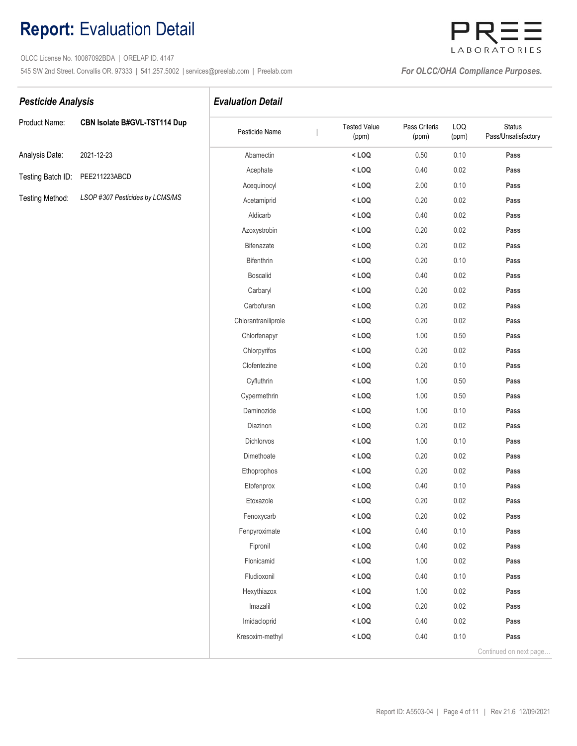## Report: Evaluation Detail

 OLCC License No. 10087092BDA | ORELAP ID. 4147 545 SW 2nd Street. Corvallis OR. 97333 | 541.257.5002 | services@preelab.com | Preelab.com | **For OLCC/OHA Compliance Purposes.** 

## LABORATORIES

#### Pesticide Analysis **Evaluation Detail**

| Product Name:                   | CBN Isolate B#GVL-TST114 Dup    |
|---------------------------------|---------------------------------|
| Analysis Date:                  | 2021-12-23                      |
| Testing Batch ID: PEE211223ABCD |                                 |
| Testing Method:                 | LSOP #307 Pesticides by LCMS/MS |

| Product Name:     | CBN Isolate B#GVL-TST114 Dup    | Pesticide Name      | <b>Tested Value</b><br>(ppm) | Pass Criteria<br>(ppm) | LOQ<br>(ppm) | <b>Status</b><br>Pass/Unsatisfactory |
|-------------------|---------------------------------|---------------------|------------------------------|------------------------|--------------|--------------------------------------|
| Analysis Date:    | 2021-12-23                      | Abamectin           | $<$ LOQ                      | 0.50                   | 0.10         | Pass                                 |
| Testing Batch ID: | PEE211223ABCD                   | Acephate            | $<$ LOQ                      | 0.40                   | 0.02         | Pass                                 |
|                   |                                 | Acequinocyl         | $<$ LOQ                      | 2.00                   | 0.10         | Pass                                 |
| Testing Method:   | LSOP #307 Pesticides by LCMS/MS | Acetamiprid         | $<$ LOQ                      | 0.20                   | 0.02         | Pass                                 |
|                   |                                 | Aldicarb            | $<$ LOQ                      | 0.40                   | 0.02         | Pass                                 |
|                   |                                 | Azoxystrobin        | $<$ LOQ                      | 0.20                   | 0.02         | Pass                                 |
|                   |                                 | Bifenazate          | $<$ LOQ                      | 0.20                   | 0.02         | Pass                                 |
|                   |                                 | Bifenthrin          | $<$ LOQ                      | 0.20                   | 0.10         | Pass                                 |
|                   |                                 | <b>Boscalid</b>     | $<$ LOQ                      | 0.40                   | 0.02         | Pass                                 |
|                   |                                 | Carbaryl            | $<$ LOQ                      | 0.20                   | 0.02         | Pass                                 |
|                   |                                 | Carbofuran          | $<$ LOQ                      | 0.20                   | 0.02         | Pass                                 |
|                   |                                 | Chlorantraniliprole | $<$ LOQ                      | 0.20                   | 0.02         | Pass                                 |
|                   |                                 | Chlorfenapyr        | $<$ LOQ                      | 1.00                   | $0.50\,$     | Pass                                 |
|                   |                                 | Chlorpyrifos        | $<$ LOQ                      | 0.20                   | 0.02         | Pass                                 |
|                   |                                 | Clofentezine        | $<$ LOQ                      | 0.20                   | 0.10         | Pass                                 |
|                   |                                 | Cyfluthrin          | $<$ LOQ                      | 1.00                   | 0.50         | Pass                                 |
|                   |                                 | Cypermethrin        | $<$ LOQ                      | 1.00                   | 0.50         | Pass                                 |
|                   |                                 | Daminozide          | $<$ LOQ                      | 1.00                   | 0.10         | Pass                                 |
|                   |                                 | Diazinon            | $<$ LOQ                      | 0.20                   | 0.02         | Pass                                 |
|                   |                                 | Dichlorvos          | $<$ LOQ                      | 1.00                   | 0.10         | Pass                                 |
|                   |                                 | Dimethoate          | $<$ LOQ                      | 0.20                   | 0.02         | Pass                                 |
|                   |                                 | Ethoprophos         | $<$ LOQ                      | 0.20                   | 0.02         | Pass                                 |
|                   |                                 | Etofenprox          | $<$ LOQ                      | 0.40                   | 0.10         | Pass                                 |
|                   |                                 | Etoxazole           | $<$ LOQ                      | 0.20                   | 0.02         | Pass                                 |
|                   |                                 | Fenoxycarb          | $<$ LOQ                      | 0.20                   | 0.02         | Pass                                 |
|                   |                                 | Fenpyroximate       | $<$ LOQ                      | 0.40                   | 0.10         | Pass                                 |
|                   |                                 | Fipronil            | $<$ LOQ                      | 0.40                   | 0.02         | Pass                                 |
|                   |                                 | Flonicamid          | $<$ LOQ                      | 1.00                   | 0.02         | Pass                                 |
|                   |                                 | Fludioxonil         | $<$ LOQ                      | 0.40                   | 0.10         | Pass                                 |
|                   |                                 | Hexythiazox         | $<$ LOQ                      | 1.00                   | 0.02         | Pass                                 |
|                   |                                 | Imazalil            | $<$ LOQ                      | 0.20                   | 0.02         | Pass                                 |
|                   |                                 | Imidacloprid        | $<$ LOQ                      | 0.40                   | 0.02         | Pass                                 |
|                   |                                 | Kresoxim-methyl     | $<$ LOQ                      | 0.40                   | 0.10         | Pass                                 |
|                   |                                 |                     |                              |                        |              | Continued on next page               |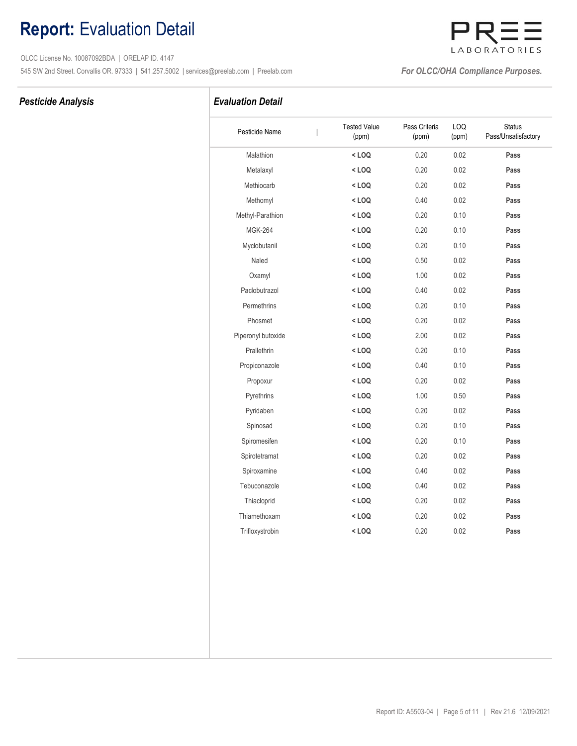## Report: Evaluation Detail

 OLCC License No. 10087092BDA | ORELAP ID. 4147 545 SW 2nd Street. Corvallis OR. 97333 | 541.257.5002 | services@preelab.com | Preelab.com | **For OLCC/OHA Compliance Purposes.** 

### Pesticide Analysis **Evaluation Detail**

| Pesticide Name     | <b>Tested Value</b><br>(ppm) | Pass Criteria<br>(ppm) | LOQ<br>(ppm) | <b>Status</b><br>Pass/Unsatisfactory |
|--------------------|------------------------------|------------------------|--------------|--------------------------------------|
| Malathion          | $<$ LOQ                      | 0.20                   | 0.02         | Pass                                 |
| Metalaxyl          | $<$ LOQ                      | 0.20                   | 0.02         | Pass                                 |
| Methiocarb         | $<$ LOQ                      | 0.20                   | 0.02         | Pass                                 |
| Methomyl           | $<$ LOQ                      | 0.40                   | 0.02         | Pass                                 |
| Methyl-Parathion   | $<$ LOQ                      | 0.20                   | 0.10         | Pass                                 |
| <b>MGK-264</b>     | $<$ LOQ                      | 0.20                   | 0.10         | Pass                                 |
| Myclobutanil       | $<$ LOQ                      | 0.20                   | 0.10         | Pass                                 |
| Naled              | $<$ LOQ                      | 0.50                   | 0.02         | Pass                                 |
| Oxamyl             | $<$ LOQ                      | 1.00                   | 0.02         | Pass                                 |
| Paclobutrazol      | $<$ LOQ                      | 0.40                   | 0.02         | Pass                                 |
| Permethrins        | $<$ LOQ                      | 0.20                   | 0.10         | Pass                                 |
| Phosmet            | $<$ LOQ                      | 0.20                   | 0.02         | Pass                                 |
| Piperonyl butoxide | $<$ LOQ                      | 2.00                   | 0.02         | Pass                                 |
| Prallethrin        | $<$ LOQ                      | 0.20                   | 0.10         | Pass                                 |
| Propiconazole      | $<$ LOQ                      | 0.40                   | 0.10         | Pass                                 |
| Propoxur           | $<$ LOQ                      | 0.20                   | 0.02         | Pass                                 |
| Pyrethrins         | $<$ LOQ                      | 1.00                   | 0.50         | Pass                                 |
| Pyridaben          | $<$ LOQ                      | 0.20                   | 0.02         | Pass                                 |
| Spinosad           | $<$ LOQ                      | 0.20                   | 0.10         | Pass                                 |
| Spiromesifen       | $<$ LOQ                      | 0.20                   | 0.10         | Pass                                 |
| Spirotetramat      | $<$ LOQ                      | 0.20                   | 0.02         | Pass                                 |
| Spiroxamine        | $<$ LOQ                      | 0.40                   | 0.02         | Pass                                 |
| Tebuconazole       | $<$ LOQ                      | 0.40                   | 0.02         | Pass                                 |
| Thiacloprid        | $<$ LOQ                      | 0.20                   | 0.02         | Pass                                 |
| Thiamethoxam       | $<$ LOQ                      | 0.20                   | 0.02         | Pass                                 |
| Trifloxystrobin    | $<$ LOQ                      | 0.20                   | 0.02         | Pass                                 |
|                    |                              |                        |              |                                      |

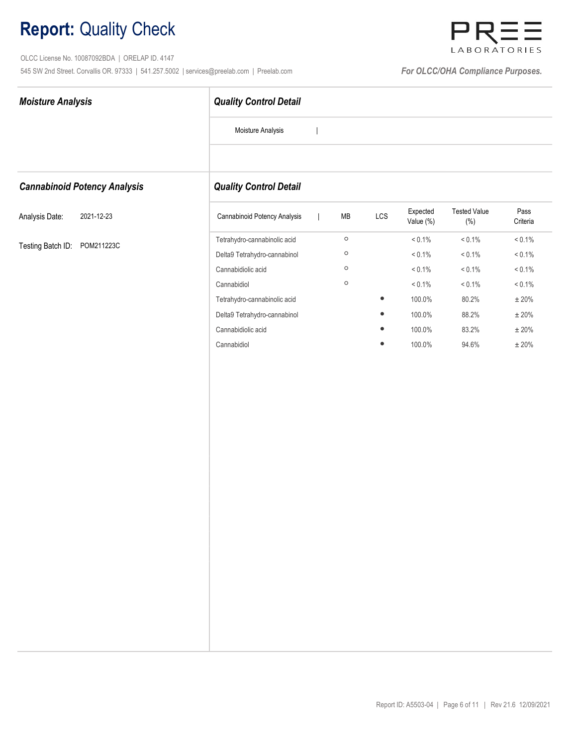OLCC License No. 10087092BDA | ORELAP ID. 4147 545 SW 2nd Street. Corvallis OR. 97333 | 541.257.5002 | services@preelab.com | Preelab.com | **For OLCC/OHA Compliance Purposes.** 



| <b>Moisture Analysis</b>            | <b>Quality Control Detail</b> |                          |            |           |                       |                                |                  |  |
|-------------------------------------|-------------------------------|--------------------------|------------|-----------|-----------------------|--------------------------------|------------------|--|
|                                     | Moisture Analysis             |                          |            |           |                       |                                |                  |  |
|                                     |                               |                          |            |           |                       |                                |                  |  |
| <b>Cannabinoid Potency Analysis</b> | <b>Quality Control Detail</b> |                          |            |           |                       |                                |                  |  |
| Analysis Date:<br>2021-12-23        | Cannabinoid Potency Analysis  | $\overline{\phantom{a}}$ | ${\sf MB}$ | LCS       | Expected<br>Value (%) | <b>Tested Value</b><br>$(\% )$ | Pass<br>Criteria |  |
|                                     | Tetrahydro-cannabinolic acid  |                          | $\circ$    |           | $< 0.1\%$             | $< 0.1\%$                      | $< 0.1\%$        |  |
| Testing Batch ID:<br>POM211223C     | Delta9 Tetrahydro-cannabinol  |                          | $\circ$    |           | $< 0.1\%$             | $< 0.1\%$                      | $< 0.1\%$        |  |
|                                     | Cannabidiolic acid            |                          | $\circ$    |           | $< 0.1\%$             | $< 0.1\%$                      | $< 0.1\%$        |  |
|                                     | Cannabidiol                   |                          | $\circ$    |           | $< 0.1\%$             | $< 0.1\%$                      | $< 0.1\%$        |  |
|                                     | Tetrahydro-cannabinolic acid  |                          |            | $\bullet$ | 100.0%                | 80.2%                          | $\pm$ 20%        |  |
|                                     | Delta9 Tetrahydro-cannabinol  |                          |            |           | 100.0%                | 88.2%                          | $\pm$ 20%        |  |
|                                     | Cannabidiolic acid            |                          |            |           | 100.0%                | 83.2%                          | $\pm$ 20%        |  |
|                                     | Cannabidiol                   |                          |            | ٠         | 100.0%                | 94.6%                          | $\pm$ 20%        |  |
|                                     |                               |                          |            |           |                       |                                |                  |  |
|                                     |                               |                          |            |           |                       |                                |                  |  |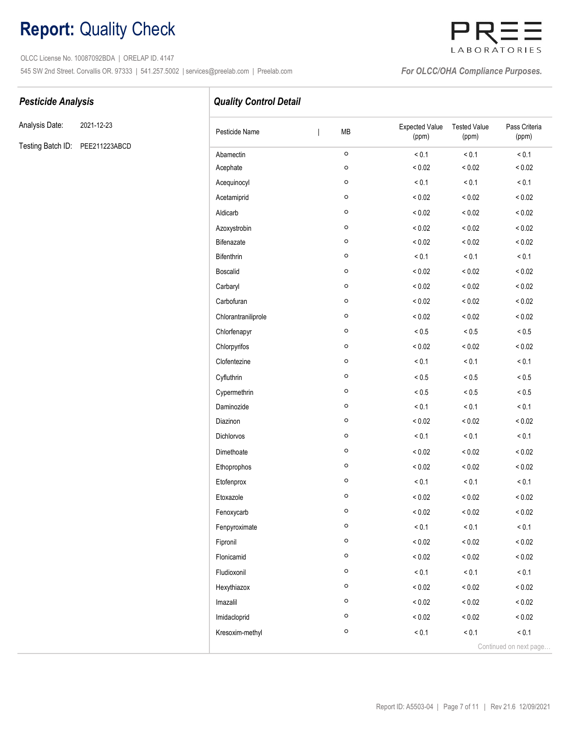OLCC License No. 10087092BDA | ORELAP ID. 4147 545 SW 2nd Street. Corvallis OR. 97333 | 541.257.5002 | services@preelab.com | Preelab.com | **For OLCC/OHA Compliance Purposes.** 



Analysis Date: 2021-12-23

Testing Batch ID: PEE211223ABCD

Pesticide Analysis **Pesticide Analysis Quality Control Detail** 

| Pesticide Name      | MB<br>I | <b>Expected Value</b><br>(ppm) | <b>Tested Value</b><br>(ppm) | Pass Criteria<br>(ppm) |
|---------------------|---------|--------------------------------|------------------------------|------------------------|
| Abamectin           | $\circ$ | < 0.1                          | < 0.1                        | < 0.1                  |
| Acephate            | $\circ$ | ${}_{0.02}$                    | ${}_{0.02}$                  | ${}_{0.02}$            |
| Acequinocyl         | $\circ$ | < 0.1                          | < 0.1                        | < 0.1                  |
| Acetamiprid         | O       | < 0.02                         | ${}_{0.02}$                  | < 0.02                 |
| Aldicarb            | $\circ$ | ${}_{0.02}$                    | ${}_{0.02}$                  | < 0.02                 |
| Azoxystrobin        | $\circ$ | ${}_{0.02}$                    | ${}< 0.02$                   | < 0.02                 |
| Bifenazate          | $\circ$ | ${}_{0.02}$                    | < 0.02                       | < 0.02                 |
| Bifenthrin          | $\circ$ | < 0.1                          | < 0.1                        | < 0.1                  |
| <b>Boscalid</b>     | O       | ${}_{0.02}$                    | ${}_{0.02}$                  | ${}_{0.02}$            |
| Carbaryl            | $\circ$ | ${}_{0.02}$                    | ${}_{0.02}$                  | < 0.02                 |
| Carbofuran          | $\circ$ | ${}_{0.02}$                    | ${}_{0.02}$                  | < 0.02                 |
| Chlorantraniliprole | O       | < 0.02                         | ${}_{0.02}$                  | ${}_{0.02}$            |
| Chlorfenapyr        | $\circ$ | ${}_{< 0.5}$                   | ${}_{0.5}$                   | ${}_{0.5}$             |
| Chlorpyrifos        | $\circ$ | ${}_{0.02}$                    | ${}_{0.02}$                  | ${}_{0.02}$            |
| Clofentezine        | O       | < 0.1                          | < 0.1                        | < 0.1                  |
| Cyfluthrin          | $\circ$ | ${}_{< 0.5}$                   | ${}_{< 0.5}$                 | ${}_{0.5}$             |
| Cypermethrin        | $\circ$ | $< 0.5$                        | ${}_{< 0.5}$                 | ${}_{0.5}$             |
| Daminozide          | O       | < 0.1                          | < 0.1                        | < 0.1                  |
| Diazinon            | O       | < 0.02                         | ${}_{0.02}$                  | < 0.02                 |
| <b>Dichlorvos</b>   | $\circ$ | < 0.1                          | < 0.1                        | < 0.1                  |
| Dimethoate          | O       | < 0.02                         | ${}_{0.02}$                  | ${}_{0.02}$            |
| Ethoprophos         | O       | ${}_{0.02}$                    | < 0.02                       | < 0.02                 |
| Etofenprox          | $\circ$ | < 0.1                          | < 0.1                        | < 0.1                  |
| Etoxazole           | $\circ$ | < 0.02                         | ${}_{0.02}$                  | ${}_{0.02}$            |
| Fenoxycarb          | $\circ$ | < 0.02                         | < 0.02                       | < 0.02                 |
| Fenpyroximate       | $\circ$ | < 0.1                          | < 0.1                        | < 0.1                  |
| Fipronil            | $\circ$ | ${}_{0.02}$                    | ${}_{0.02}$                  | ${}_{0.02}$            |
| Flonicamid          | $\circ$ | ${}_{< 0.02}$                  | ${}_{< 0.02}$                | ${}_{0.02}$            |
| Fludioxonil         | $\circ$ | < 0.1                          | < 0.1                        | < 0.1                  |
| Hexythiazox         | $\circ$ | ${}_{< 0.02}$                  | $< 0.02$                     | ${}_{0.02}$            |
| Imazalil            | $\circ$ | ${}_{< 0.02}$                  | ${}_{0.02}$                  | ${}_{0.02}$            |
| Imidacloprid        | $\circ$ | ${}_{0.02}$                    | ${}_{0.02}$                  | ${}_{0.02}$            |
| Kresoxim-methyl     | $\circ$ | < 0.1                          | < 0.1                        | < 0.1                  |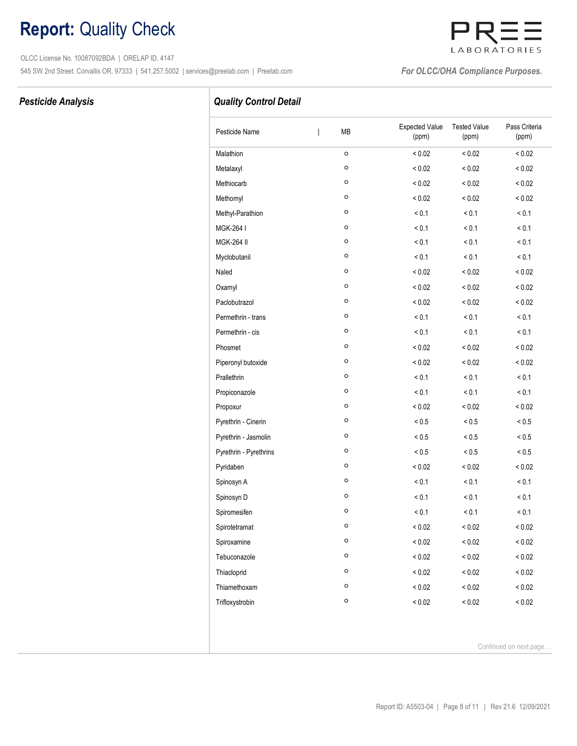OLCC License No. 10087092BDA | ORELAP ID. 4147 545 SW 2nd Street. Corvallis OR. 97333 | 541.257.5002 | services@preelab.com | Preelab.com | **For OLCC/OHA Compliance Purposes.** 

# LABORATORIES

### Pesticide Analysis

## Quality Control Detail

| Pesticide Name         | MB<br>T      | <b>Expected Value</b><br>(ppm) | <b>Tested Value</b><br>(ppm) | Pass Criteria<br>(ppm) |
|------------------------|--------------|--------------------------------|------------------------------|------------------------|
| Malathion              | $\circ$      | ${}_{0.02}$                    | ${}_{0.02}$                  | < 0.02                 |
| Metalaxyl              | o            | ${}_{0.02}$                    | < 0.02                       | ${}_{0.02}$            |
| Methiocarb             | O            | ${}_{0.02}$                    | $< 0.02$                     | ${}_{0.02}$            |
| Methomyl               | O            | ${}_{0.02}$                    | < 0.02                       | ${}_{0.02}$            |
| Methyl-Parathion       | o            | < 0.1                          | < 0.1                        | < 0.1                  |
| MGK-264 I              | O            | < 0.1                          | < 0.1                        | < 0.1                  |
| <b>MGK-264 II</b>      | O            | < 0.1                          | < 0.1                        | < 0.1                  |
| Myclobutanil           | O            | < 0.1                          | < 0.1                        | < 0.1                  |
| Naled                  | $\circ$      | ${}_{0.02}$                    | ${}_{0.02}$                  | ${}_{0.02}$            |
| Oxamyl                 | o            | ${}_{0.02}$                    | < 0.02                       | < 0.02                 |
| Paclobutrazol          | O            | < 0.02                         | ${}_{0.02}$                  | < 0.02                 |
| Permethrin - trans     | O            | < 0.1                          | < 0.1                        | < 0.1                  |
| Permethrin - cis       | $\mathsf{o}$ | < 0.1                          | < 0.1                        | < 0.1                  |
| Phosmet                | O            | ${}_{0.02}$                    | ${}_{0.02}$                  | ${}_{0.02}$            |
| Piperonyl butoxide     | $\circ$      | ${}_{0.02}$                    | ${}_{0.02}$                  | ${}_{0.02}$            |
| Prallethrin            | $\mathsf{o}$ | < 0.1                          | < 0.1                        | < 0.1                  |
| Propiconazole          | O            | < 0.1                          | < 0.1                        | < 0.1                  |
| Propoxur               | $\circ$      | ${}_{0.02}$                    | ${}< 0.02$                   | ${}_{0.02}$            |
| Pyrethrin - Cinerin    | O            | ${}_{< 0.5}$                   | ${}_{0.5}$                   | ${}_{< 0.5}$           |
| Pyrethrin - Jasmolin   | o            | $< 0.5$                        | ${}_{0.5}$                   | ${}_{< 0.5}$           |
| Pyrethrin - Pyrethrins | O            | ${}_{< 0.5}$                   | $< 0.5$                      | $< 0.5$                |
| Pyridaben              | O            | ${}_{0.02}$                    | ${}< 0.02$                   | ${}_{0.02}$            |
| Spinosyn A             | $\mathsf{o}$ | < 0.1                          | < 0.1                        | < 0.1                  |
| Spinosyn D             | O            | < 0.1                          | < 0.1                        | < 0.1                  |
| Spiromesifen           | $\mathsf{o}$ | < 0.1                          | < 0.1                        | < 0.1                  |
| Spirotetramat          | $\circ$      | ${}_{0.02}$                    | ${}_{0.02}$                  | ${}_{0.02}$            |
| Spiroxamine            | $\mathsf{o}$ | ${}_{0.02}$                    | ${}< 0.02$                   | ${}_{< 0.02}$          |
| Tebuconazole           | $\mathsf{o}$ | ${}_{0.02}$                    | ${}_{0.02}$                  | ${}_{0.02}$            |
| Thiacloprid            | $\circ$      | ${}_{0.02}$                    | ${}_{0.02}$                  | ${}_{0.02}$            |
| Thiamethoxam           | o            | ${}_{0.02}$                    | ${}_{0.02}$                  | ${}_{0.02}$            |
| Trifloxystrobin        | $\circ$      | ${}_{0.02}$                    | ${}_{0.02}$                  | ${}_{0.02}$            |

Continued on next page…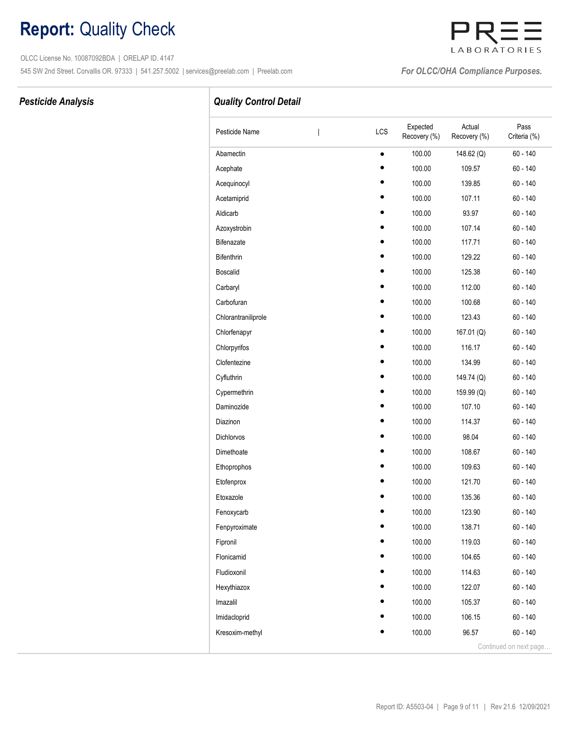OLCC License No. 10087092BDA | ORELAP ID. 4147 545 SW 2nd Street. Corvallis OR. 97333 | 541.257.5002 | services@preelab.com | Preelab.com | **For OLCC/OHA Compliance Purposes.** 

# LABORATORIES

## Pesticide Analysis **Pesticide Analysis Quality Control Detail**

| Pesticide Name      | LCS       | Expected<br>Recovery (%) | Actual<br>Recovery (%) | Pass<br>Criteria (%)   |
|---------------------|-----------|--------------------------|------------------------|------------------------|
| Abamectin           | $\bullet$ | 100.00                   | 148.62 (Q)             | $60 - 140$             |
| Acephate            |           | 100.00                   | 109.57                 | $60 - 140$             |
| Acequinocyl         |           | 100.00                   | 139.85                 | $60 - 140$             |
| Acetamiprid         |           | 100.00                   | 107.11                 | $60 - 140$             |
| Aldicarb            |           | 100.00                   | 93.97                  | $60 - 140$             |
| Azoxystrobin        |           | 100.00                   | 107.14                 | $60 - 140$             |
| <b>Bifenazate</b>   |           | 100.00                   | 117.71                 | 60 - 140               |
| Bifenthrin          |           | 100.00                   | 129.22                 | $60 - 140$             |
| <b>Boscalid</b>     |           | 100.00                   | 125.38                 | $60 - 140$             |
| Carbaryl            |           | 100.00                   | 112.00                 | $60 - 140$             |
| Carbofuran          |           | 100.00                   | 100.68                 | $60 - 140$             |
| Chlorantraniliprole |           | 100.00                   | 123.43                 | 60 - 140               |
| Chlorfenapyr        |           | 100.00                   | 167.01 (Q)             | $60 - 140$             |
| Chlorpyrifos        |           | 100.00                   | 116.17                 | $60 - 140$             |
| Clofentezine        |           | 100.00                   | 134.99                 | 60 - 140               |
| Cyfluthrin          |           | 100.00                   | 149.74 (Q)             | $60 - 140$             |
| Cypermethrin        |           | 100.00                   | 159.99 (Q)             | $60 - 140$             |
| Daminozide          |           | 100.00                   | 107.10                 | $60 - 140$             |
| Diazinon            |           | 100.00                   | 114.37                 | $60 - 140$             |
| Dichlorvos          |           | 100.00                   | 98.04                  | $60 - 140$             |
| Dimethoate          |           | 100.00                   | 108.67                 | 60 - 140               |
| Ethoprophos         |           | 100.00                   | 109.63                 | $60 - 140$             |
| Etofenprox          |           | 100.00                   | 121.70                 | $60 - 140$             |
| Etoxazole           |           | 100.00                   | 135.36                 | $60 - 140$             |
| Fenoxycarb          |           | 100.00                   | 123.90                 | 60 - 140               |
| Fenpyroximate       |           | 100.00                   | 138.71                 | $60 - 140$             |
| Fipronil            |           | 100.00                   | 119.03                 | $60 - 140$             |
| Flonicamid          |           | 100.00                   | 104.65                 | $60 - 140$             |
| Fludioxonil         |           | 100.00                   | 114.63                 | $60 - 140$             |
| Hexythiazox         |           | 100.00                   | 122.07                 | $60 - 140$             |
| Imazalil            |           | 100.00                   | 105.37                 | $60 - 140$             |
| Imidacloprid        |           | 100.00                   | 106.15                 | $60 - 140$             |
| Kresoxim-methyl     |           | 100.00                   | 96.57                  | $60 - 140$             |
|                     |           |                          |                        | Continued on next page |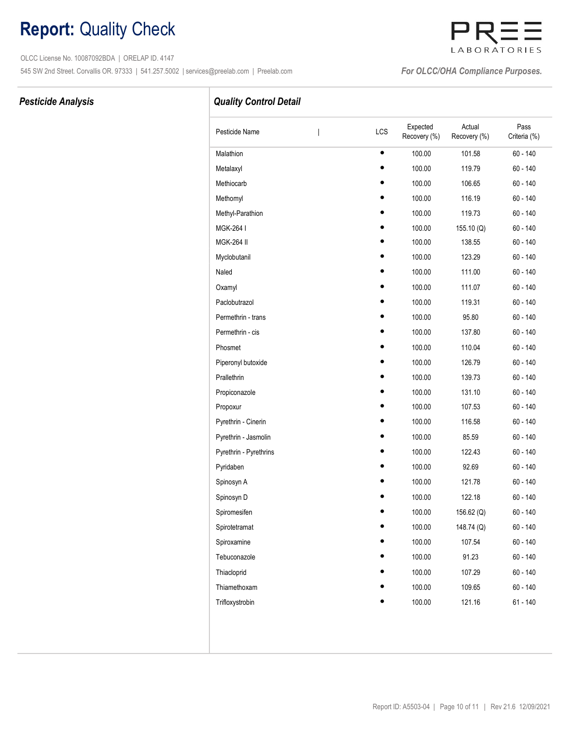OLCC License No. 10087092BDA | ORELAP ID. 4147 545 SW 2nd Street. Corvallis OR. 97333 | 541.257.5002 | services@preelab.com | Preelab.com | **For OLCC/OHA Compliance Purposes.** 

# LABORATORIES

### Pesticide Analysis **Pesticide Analysis Quality Control Detail**

| Pesticide Name         | I | LCS       | Expected<br>Recovery (%) | Actual<br>Recovery (%) | Pass<br>Criteria (%) |
|------------------------|---|-----------|--------------------------|------------------------|----------------------|
| Malathion              |   | $\bullet$ | 100.00                   | 101.58                 | 60 - 140             |
| Metalaxyl              |   |           | 100.00                   | 119.79                 | $60 - 140$           |
| Methiocarb             |   |           | 100.00                   | 106.65                 | 60 - 140             |
| Methomyl               |   |           | 100.00                   | 116.19                 | 60 - 140             |
| Methyl-Parathion       |   |           | 100.00                   | 119.73                 | 60 - 140             |
| MGK-264 I              |   |           | 100.00                   | 155.10 (Q)             | $60 - 140$           |
| <b>MGK-264 II</b>      |   |           | 100.00                   | 138.55                 | $60 - 140$           |
| Myclobutanil           |   |           | 100.00                   | 123.29                 | 60 - 140             |
| Naled                  |   |           | 100.00                   | 111.00                 | 60 - 140             |
| Oxamyl                 |   |           | 100.00                   | 111.07                 | 60 - 140             |
| Paclobutrazol          |   |           | 100.00                   | 119.31                 | 60 - 140             |
| Permethrin - trans     |   |           | 100.00                   | 95.80                  | 60 - 140             |
| Permethrin - cis       |   |           | 100.00                   | 137.80                 | 60 - 140             |
| Phosmet                |   |           | 100.00                   | 110.04                 | 60 - 140             |
| Piperonyl butoxide     |   |           | 100.00                   | 126.79                 | 60 - 140             |
| Prallethrin            |   |           | 100.00                   | 139.73                 | 60 - 140             |
| Propiconazole          |   |           | 100.00                   | 131.10                 | $60 - 140$           |
| Propoxur               |   |           | 100.00                   | 107.53                 | 60 - 140             |
| Pyrethrin - Cinerin    |   |           | 100.00                   | 116.58                 | 60 - 140             |
| Pyrethrin - Jasmolin   |   |           | 100.00                   | 85.59                  | 60 - 140             |
| Pyrethrin - Pyrethrins |   |           | 100.00                   | 122.43                 | $60 - 140$           |
| Pyridaben              |   |           | 100.00                   | 92.69                  | 60 - 140             |
| Spinosyn A             |   |           | 100.00                   | 121.78                 | $60 - 140$           |
| Spinosyn D             |   |           | 100.00                   | 122.18                 | $60 - 140$           |
| Spiromesifen           |   |           | 100.00                   | 156.62 (Q)             | 60 - 140             |
| Spirotetramat          |   |           | 100.00                   | 148.74 (Q)             | $60 - 140$           |
| Spiroxamine            |   |           | 100.00                   | 107.54                 | $60 - 140$           |
| Tebuconazole           |   |           | 100.00                   | 91.23                  | $60 - 140$           |
| Thiacloprid            |   |           | 100.00                   | 107.29                 | $60 - 140$           |
| Thiamethoxam           |   |           | 100.00                   | 109.65                 | $60 - 140$           |
| Trifloxystrobin        |   |           | 100.00                   | 121.16                 | $61 - 140$           |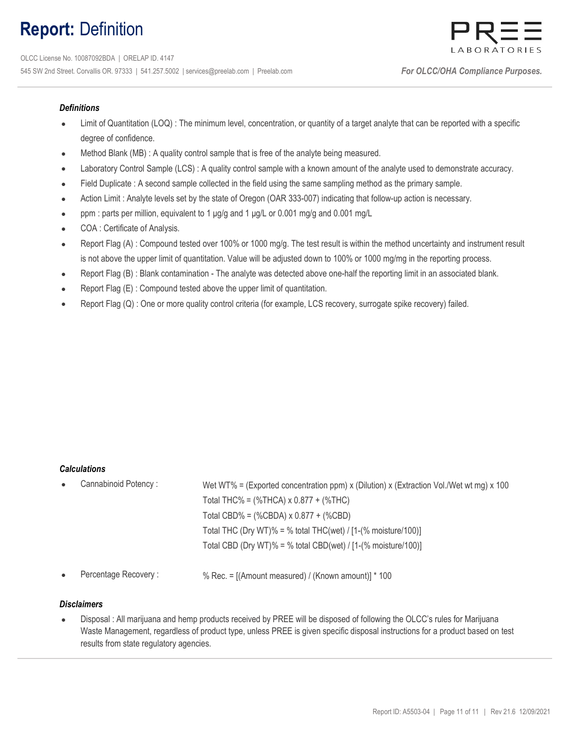## Report: Definition



#### **Definitions**

- Limit of Quantitation (LOQ) : The minimum level, concentration, or quantity of a target analyte that can be reported with a specific degree of confidence.
- Method Blank (MB) : A quality control sample that is free of the analyte being measured.
- Laboratory Control Sample (LCS) : A quality control sample with a known amount of the analyte used to demonstrate accuracy.
- Field Duplicate : A second sample collected in the field using the same sampling method as the primary sample.
- Action Limit : Analyte levels set by the state of Oregon (OAR 333-007) indicating that follow-up action is necessary.
- ppm : parts per million, equivalent to 1 μg/g and 1 μg/L or 0.001 mg/g and 0.001 mg/L
- COA : Certificate of Analysis.
- Report Flag (A) : Compound tested over 100% or 1000 mg/g. The test result is within the method uncertainty and instrument result is not above the upper limit of quantitation. Value will be adjusted down to 100% or 1000 mg/mg in the reporting process.
- Report Flag (B) : Blank contamination The analyte was detected above one-half the reporting limit in an associated blank.
- Report Flag (E) : Compound tested above the upper limit of quantitation.
- Report Flag (Q) : One or more quality control criteria (for example, LCS recovery, surrogate spike recovery) failed.

#### Calculations

| $\bullet$ | Cannabinoid Potency: | Wet WT% = (Exported concentration ppm) x (Dilution) x (Extraction Vol./Wet wt mg) x 100 |
|-----------|----------------------|-----------------------------------------------------------------------------------------|
|           |                      | Total THC% = $(\%$ THCA) x 0.877 + $(\%$ THC)                                           |
|           |                      | Total CBD% = $(\%$ CBDA) x 0.877 + $(\%$ CBD)                                           |
|           |                      | Total THC (Dry WT)% = % total THC(wet) / $[1-(% \text{ moisture}/100)]$                 |
|           |                      | Total CBD (Dry WT)% = % total CBD(wet) / $[1-(% moisture/100)]$                         |
|           |                      |                                                                                         |

Percentage Recovery :  $\%$  Rec. = [(Amount measured) / (Known amount)] \* 100

#### **Disclaimers**

 $\bullet$ Disposal : All marijuana and hemp products received by PREE will be disposed of following the OLCC's rules for Marijuana Waste Management, regardless of product type, unless PREE is given specific disposal instructions for a product based on test results from state regulatory agencies.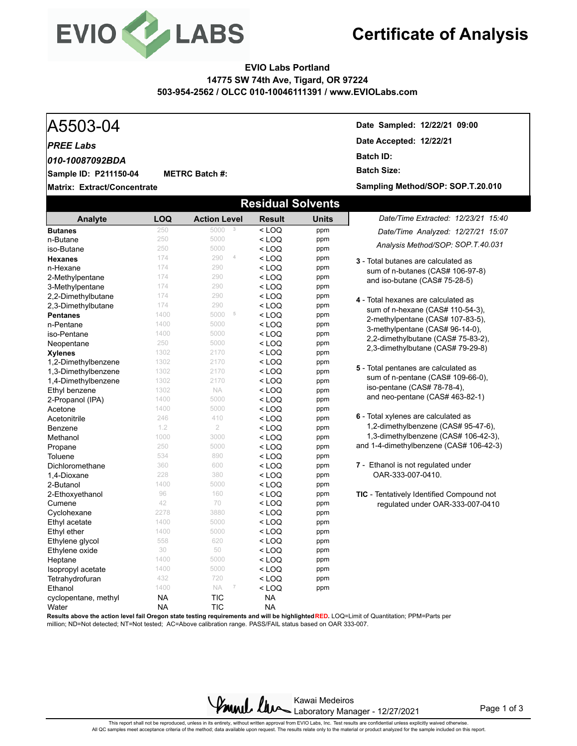

**METRC Batch #:** 

## **Certificate of Analysis**

#### **EVIO Labs Portland 14775 SW 74th Ave, Tigard, OR 97224 503-954-2562 / OLCC 010-10046111391 / www.EVIOLabs.com**

#### *PREE Labs*

*010-10087092BDA*

**Sample ID: P211150-04**

**Matrix: Extract/Concentrate**

A5503-04 **Date Sampled: 12/22/21 09:00 Date Accepted: 12/22/21 Batch ID: Batch Size:** 

**Sampling Method/SOP: SOP.T.20.010**

| <b>Residual Solvents</b> |            |                                |               |              |                                                  |  |  |  |  |  |
|--------------------------|------------|--------------------------------|---------------|--------------|--------------------------------------------------|--|--|--|--|--|
| Analyte                  | <b>LOQ</b> | <b>Action Level</b>            | <b>Result</b> | <b>Units</b> | Date/Time Extracted: 12/23/21 15:40              |  |  |  |  |  |
| <b>Butanes</b>           | 250        | 3<br>5000                      | $<$ LOQ       | ppm          | Date/Time Analyzed: 12/27/21 15:07               |  |  |  |  |  |
| n-Butane                 | 250        | 5000                           | $<$ LOQ       | ppm          | Analysis Method/SOP: SOP.T.40.031                |  |  |  |  |  |
| iso-Butane               | 250        | 5000                           | $<$ LOQ       | ppm          |                                                  |  |  |  |  |  |
| <b>Hexanes</b>           | 174        | $\it 4$<br>290                 | $<$ LOQ       | ppm          | <b>3</b> - Total butanes are calculated as       |  |  |  |  |  |
| n-Hexane                 | 174        | 290                            | $<$ LOQ       | ppm          | sum of n-butanes (CAS# 106-97-8)                 |  |  |  |  |  |
| 2-Methylpentane          | 174        | 290                            | < LOQ         | ppm          | and iso-butane (CAS# 75-28-5)                    |  |  |  |  |  |
| 3-Methylpentane          | 174        | 290                            | $<$ LOQ       | ppm          |                                                  |  |  |  |  |  |
| 2,2-Dimethylbutane       | 174        | 290                            | < LOQ         | ppm          | 4 - Total hexanes are calculated as              |  |  |  |  |  |
| 2,3-Dimethylbutane       | 174        | 290                            | < LOQ         | ppm          | sum of n-hexane (CAS# 110-54-3),                 |  |  |  |  |  |
| <b>Pentanes</b>          | 1400       | 5<br>5000                      | $<$ LOQ       | ppm          | 2-methylpentane (CAS# 107-83-5),                 |  |  |  |  |  |
| n-Pentane                | 1400       | 5000                           | < LOQ         | ppm          | 3-methylpentane (CAS# 96-14-0),                  |  |  |  |  |  |
| iso-Pentane              | 1400       | 5000                           | $<$ LOQ       | ppm          | 2,2-dimethylbutane (CAS# 75-83-2),               |  |  |  |  |  |
| Neopentane               | 250        | 5000                           | < LOQ         | ppm          | 2,3-dimethylbutane (CAS# 79-29-8)                |  |  |  |  |  |
| <b>Xylenes</b>           | 1302       | 2170                           | $<$ LOQ       | ppm          |                                                  |  |  |  |  |  |
| 1,2-Dimethylbenzene      | 1302       | 2170                           | $<$ LOQ       | ppm          |                                                  |  |  |  |  |  |
| 1,3-Dimethylbenzene      | 1302       | 2170                           | < LOQ         | ppm          | 5 - Total pentanes are calculated as             |  |  |  |  |  |
| 1,4-Dimethylbenzene      | 1302       | 2170                           | $<$ LOQ       | ppm          | sum of n-pentane (CAS# 109-66-0),                |  |  |  |  |  |
| Ethyl benzene            | 1302       | NA.                            | $<$ LOQ       | ppm          | iso-pentane (CAS# 78-78-4),                      |  |  |  |  |  |
| 2-Propanol (IPA)         | 1400       | 5000                           | $<$ LOQ       | ppm          | and neo-pentane (CAS# 463-82-1)                  |  |  |  |  |  |
| Acetone                  | 1400       | 5000                           | $<$ LOQ       | ppm          |                                                  |  |  |  |  |  |
| Acetonitrile             | 246        | 410                            | < LOQ         | ppm          | 6 - Total xylenes are calculated as              |  |  |  |  |  |
| Benzene                  | 1.2        | $\overline{2}$                 | $<$ LOQ       | ppm          | 1,2-dimethylbenzene (CAS# 95-47-6),              |  |  |  |  |  |
| Methanol                 | 1000       | 3000                           | < LOQ         | ppm          | 1,3-dimethylbenzene (CAS# 106-42-3),             |  |  |  |  |  |
| Propane                  | 250        | 5000                           | $<$ LOQ       | ppm          | and 1-4-dimethylbenzene (CAS# 106-42-3)          |  |  |  |  |  |
| Toluene                  | 534        | 890                            | $<$ LOQ       | ppm          |                                                  |  |  |  |  |  |
| Dichloromethane          | 360        | 600                            | $<$ LOQ       | ppm          | 7 - Ethanol is not regulated under               |  |  |  |  |  |
| 1,4-Dioxane              | 228        | 380                            | $<$ LOQ       | ppm          | OAR-333-007-0410.                                |  |  |  |  |  |
| 2-Butanol                | 1400       | 5000                           | < LOQ         | ppm          |                                                  |  |  |  |  |  |
| 2-Ethoxyethanol          | 96         | 160                            | $<$ LOQ       | ppm          | <b>TIC</b> - Tentatively Identified Compound not |  |  |  |  |  |
| Cumene                   | 42         | 70                             | $<$ LOQ       | ppm          | regulated under OAR-333-007-0410                 |  |  |  |  |  |
| Cyclohexane              | 2278       | 3880                           | $<$ LOQ       | ppm          |                                                  |  |  |  |  |  |
| Ethyl acetate            | 1400       | 5000                           | $<$ LOQ       | ppm          |                                                  |  |  |  |  |  |
| Ethyl ether              | 1400       | 5000                           | $<$ LOQ       | ppm          |                                                  |  |  |  |  |  |
| Ethylene glycol          | 558        | 620                            | $<$ LOQ       | ppm          |                                                  |  |  |  |  |  |
| Ethylene oxide           | 30         | 50                             | < LOQ         | ppm          |                                                  |  |  |  |  |  |
| Heptane                  | 1400       | 5000                           | < LOQ         | ppm          |                                                  |  |  |  |  |  |
| Isopropyl acetate        | 1400       | 5000                           | $<$ LOQ       | ppm          |                                                  |  |  |  |  |  |
| Tetrahydrofuran          | 432        | 720                            | < LOQ         | ppm          |                                                  |  |  |  |  |  |
| Ethanol                  | 1400       | NA<br>$\overline{\phantom{a}}$ | < LOQ         | ppm          |                                                  |  |  |  |  |  |
| cyclopentane, methyl     | <b>NA</b>  | <b>TIC</b>                     | <b>NA</b>     |              |                                                  |  |  |  |  |  |
| Water                    | <b>NA</b>  | <b>TIC</b>                     | <b>NA</b>     |              |                                                  |  |  |  |  |  |

**Results above the action level fail Oregon state testing requirements and will be highlighted RED.** LOQ=Limit of Quantitation; PPM=Parts per million; ND=Not detected; NT=Not tested; AC=Above calibration range. PASS/FAIL status based on OAR 333-007.

> Kawai Medeiros Laboratory Manager - 12/27/2021

Page 1 of 3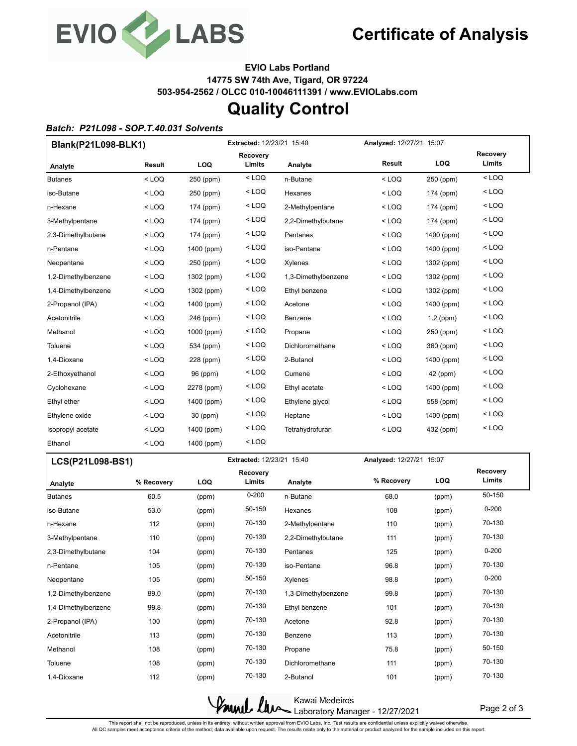

**EVIO Labs Portland 14775 SW 74th Ave, Tigard, OR 97224 503-954-2562 / OLCC 010-10046111391 / www.EVIOLabs.com**

## **Quality Control**

#### *Batch: P21L098 - SOP.T.40.031 Solvents*

| Blank(P21L098-BLK1) |         | <b>Extracted: 12/23/21 15:40</b> |                           |                     | Analyzed: 12/27/21 15:07 |             |                    |  |
|---------------------|---------|----------------------------------|---------------------------|---------------------|--------------------------|-------------|--------------------|--|
| Analyte             | Result  | LOQ                              | <b>Recovery</b><br>Limits | Analyte             | Result                   | <b>LOQ</b>  | Recovery<br>Limits |  |
| <b>Butanes</b>      | $<$ LOQ | 250 (ppm)                        | $<$ LOQ                   | n-Butane            | $<$ LOQ                  | 250 (ppm)   | $<$ LOQ            |  |
| iso-Butane          | $<$ LOQ | 250 (ppm)                        | $<$ LOQ                   | Hexanes             | $<$ LOQ                  | 174 (ppm)   | $<$ LOQ            |  |
| n-Hexane            | $<$ LOQ | 174 (ppm)                        | $<$ LOQ                   | 2-Methylpentane     | $<$ LOQ                  | 174 (ppm)   | $<$ LOQ            |  |
| 3-Methylpentane     | $<$ LOQ | 174 (ppm)                        | $<$ LOQ                   | 2,2-Dimethylbutane  | $<$ LOQ                  | 174 (ppm)   | $<$ LOQ            |  |
| 2,3-Dimethylbutane  | $<$ LOQ | 174 (ppm)                        | $<$ LOQ                   | Pentanes            | $<$ LOQ                  | 1400 (ppm)  | $<$ LOQ            |  |
| n-Pentane           | $<$ LOQ | 1400 (ppm)                       | $<$ LOQ                   | iso-Pentane         | $<$ LOQ                  | 1400 (ppm)  | $<$ LOQ            |  |
| Neopentane          | $<$ LOQ | 250 (ppm)                        | $<$ LOQ                   | Xylenes             | $<$ LOQ                  | 1302 (ppm)  | $<$ LOQ            |  |
| 1,2-Dimethylbenzene | $<$ LOQ | 1302 (ppm)                       | $<$ LOQ                   | 1,3-Dimethylbenzene | $<$ LOQ                  | 1302 (ppm)  | $<$ LOQ            |  |
| 1,4-Dimethylbenzene | $<$ LOQ | 1302 (ppm)                       | $<$ LOQ                   | Ethyl benzene       | $<$ LOQ                  | 1302 (ppm)  | $<$ LOQ            |  |
| 2-Propanol (IPA)    | $<$ LOQ | 1400 (ppm)                       | $<$ LOQ                   | Acetone             | $<$ LOQ                  | 1400 (ppm)  | $<$ LOQ            |  |
| Acetonitrile        | $<$ LOQ | 246 (ppm)                        | $<$ LOQ                   | Benzene             | $<$ LOQ                  | $1.2$ (ppm) | $<$ LOQ            |  |
| Methanol            | $<$ LOQ | 1000 (ppm)                       | $<$ LOQ                   | Propane             | $<$ LOQ                  | 250 (ppm)   | $<$ LOQ            |  |
| Toluene             | $<$ LOQ | 534 (ppm)                        | $<$ LOQ                   | Dichloromethane     | $<$ LOQ                  | 360 (ppm)   | $<$ LOQ            |  |
| 1,4-Dioxane         | $<$ LOQ | 228 (ppm)                        | $<$ LOQ                   | 2-Butanol           | $<$ LOQ                  | 1400 (ppm)  | $<$ LOQ            |  |
| 2-Ethoxyethanol     | $<$ LOQ | 96 (ppm)                         | $<$ LOQ                   | Cumene              | $<$ LOQ                  | 42 (ppm)    | $<$ LOQ            |  |
| Cyclohexane         | $<$ LOQ | 2278 (ppm)                       | $<$ LOQ                   | Ethyl acetate       | $<$ LOQ                  | 1400 (ppm)  | $<$ LOQ            |  |
| Ethyl ether         | $<$ LOQ | 1400 (ppm)                       | $<$ LOQ                   | Ethylene glycol     | $<$ LOQ                  | 558 (ppm)   | $<$ LOQ            |  |
| Ethylene oxide      | $<$ LOQ | 30 (ppm)                         | $<$ LOQ                   | Heptane             | $<$ LOQ                  | 1400 (ppm)  | $<$ LOQ            |  |
| Isopropyl acetate   | $<$ LOQ | 1400 (ppm)                       | $<$ LOQ                   | Tetrahydrofuran     | $<$ LOQ                  | 432 (ppm)   | $<$ LOQ            |  |
| Ethanol             | $<$ LOQ | 1400 (ppm)                       | $<$ LOQ                   |                     |                          |             |                    |  |

| LCS(P21L098-BS1)    |            |            | <b>Extracted: 12/23/21 15:40</b> |                     | Analyzed: 12/27/21 15:07 |            |                           |
|---------------------|------------|------------|----------------------------------|---------------------|--------------------------|------------|---------------------------|
| Analyte             | % Recovery | <b>LOQ</b> | <b>Recovery</b><br>Limits        | Analyte             | % Recovery               | <b>LOQ</b> | <b>Recovery</b><br>Limits |
| <b>Butanes</b>      | 60.5       | (ppm)      | $0 - 200$                        | n-Butane            | 68.0                     | (ppm)      | 50-150                    |
| iso-Butane          | 53.0       | (ppm)      | 50-150                           | Hexanes             | 108                      | (ppm)      | $0 - 200$                 |
| n-Hexane            | 112        | (ppm)      | 70-130                           | 2-Methylpentane     | 110                      | (ppm)      | 70-130                    |
| 3-Methylpentane     | 110        | (ppm)      | 70-130                           | 2,2-Dimethylbutane  | 111                      | (ppm)      | 70-130                    |
| 2,3-Dimethylbutane  | 104        | (ppm)      | 70-130                           | Pentanes            | 125                      | (ppm)      | $0 - 200$                 |
| n-Pentane           | 105        | (ppm)      | 70-130                           | iso-Pentane         | 96.8                     | (ppm)      | 70-130                    |
| Neopentane          | 105        | (ppm)      | 50-150                           | Xylenes             | 98.8                     | (ppm)      | $0 - 200$                 |
| 1,2-Dimethylbenzene | 99.0       | (ppm)      | 70-130                           | 1,3-Dimethylbenzene | 99.8                     | (ppm)      | 70-130                    |
| 1,4-Dimethylbenzene | 99.8       | (ppm)      | 70-130                           | Ethyl benzene       | 101                      | (ppm)      | 70-130                    |
| 2-Propanol (IPA)    | 100        | (ppm)      | 70-130                           | Acetone             | 92.8                     | (ppm)      | 70-130                    |
| Acetonitrile        | 113        | (ppm)      | 70-130                           | Benzene             | 113                      | (ppm)      | 70-130                    |
| Methanol            | 108        | (ppm)      | 70-130                           | Propane             | 75.8                     | (ppm)      | 50-150                    |
| Toluene             | 108        | (ppm)      | 70-130                           | Dichloromethane     | 111                      | (ppm)      | 70-130                    |
| 1.4-Dioxane         | 112        | (ppm)      | 70-130                           | 2-Butanol           | 101                      | (ppm)      | 70-130                    |

Kawai Medeiros Laboratory Manager - 12/27/2021

Page 2 of 3

This report shall not be reproduced, unless in its entirety, without written approval from EVIO Labs, Inc. Test results are confidential unless explicitly waived otherwise.<br>All QC samples meet acceptance criteria of the me